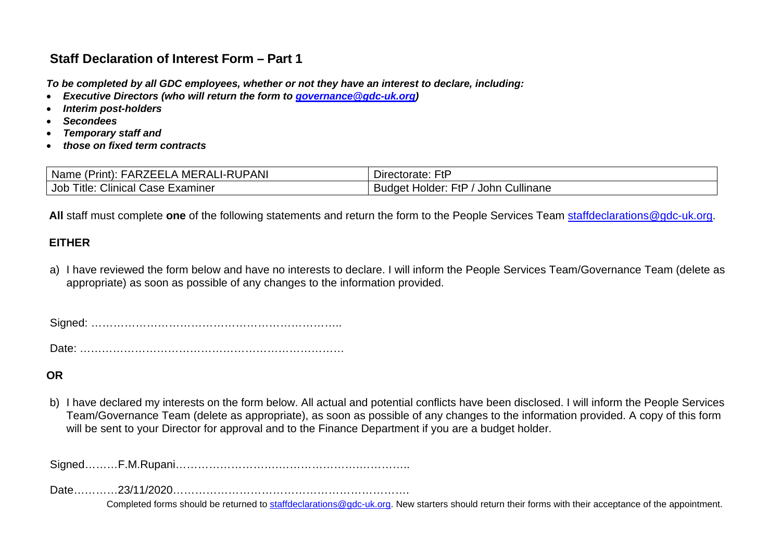# **Staff Declaration of Interest Form – Part 1**

*To be completed by all GDC employees, whether or not they have an interest to declare, including:*

- *Executive Directors (who will return the form to [governance@gdc-uk.org\)](mailto:governance@gdc-uk.org)*
- *Interim post-holders*
- *Secondees*
- *Temporary staff and*
- *those on fixed term contracts*

| <b>RUPANI</b><br>Nam<br>'rınt).<br>. اپ <sub>اد</sub><br>MERALI<br>– ∧∟<br>▵<br>ne<br>. . | FtF<br>ctorate:<br>Director                                                   |
|-------------------------------------------------------------------------------------------|-------------------------------------------------------------------------------|
| $\sim$ $\cdot$<br>Job<br>Title.<br>Examiner<br>Clinical <sup>*</sup><br>Case              | <br>F+E<br>. .<br>Cullinane<br>Johr<br>. Holder <sup>.</sup><br>Budaet<br>. . |

 **All** staff must complete **one** of the following statements and return the form to the People Services Team [staffdeclarations@gdc-uk.org.](mailto:staffdeclarations@gdc-uk.org)

## **EITHER**

a) I have reviewed the form below and have no interests to declare. I will inform the People Services Team/Governance Team (delete as appropriate) as soon as possible of any changes to the information provided.

Signed: …………………………………………………………..

Date: ………………………………………………………………

### **OR**

b) I have declared my interests on the form below. All actual and potential conflicts have been disclosed. I will inform the People Services Team/Governance Team (delete as appropriate), as soon as possible of any changes to the information provided. A copy of this form will be sent to your Director for approval and to the Finance Department if you are a budget holder.

Signed………F.M.Rupani……………………….………………….…………..

Date…………23/11/2020……………………………………………………….

Completed forms should be returned to [staffdeclarations@gdc-uk.org.](mailto:staffdeclarations@gdc-uk.org) New starters should return their forms with their acceptance of the appointment.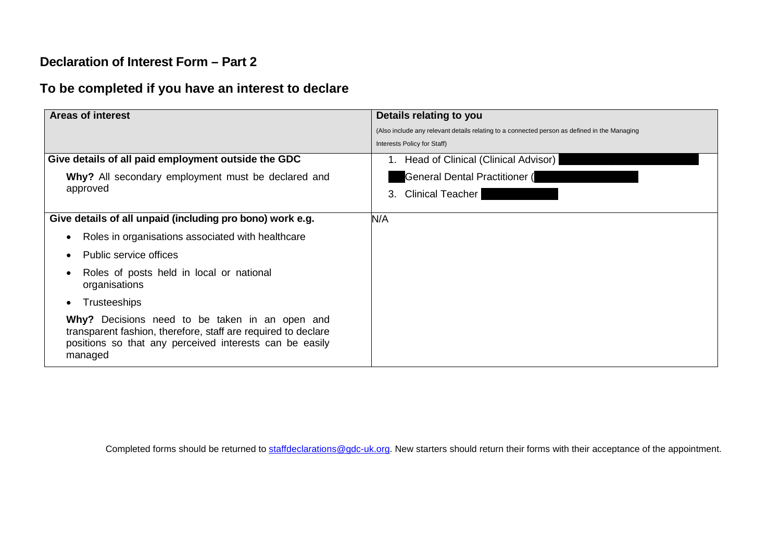## **Declaration of Interest Form – Part 2**

# **To be completed if you have an interest to declare**

| <b>Areas of interest</b>                                                                                                                                                              | Details relating to you                                                                      |
|---------------------------------------------------------------------------------------------------------------------------------------------------------------------------------------|----------------------------------------------------------------------------------------------|
|                                                                                                                                                                                       | (Also include any relevant details relating to a connected person as defined in the Managing |
|                                                                                                                                                                                       | Interests Policy for Staff)                                                                  |
| Give details of all paid employment outside the GDC                                                                                                                                   | 1. Head of Clinical (Clinical Advisor)                                                       |
| Why? All secondary employment must be declared and<br>approved                                                                                                                        | <b>General Dental Practitioner (</b>                                                         |
|                                                                                                                                                                                       | <b>Clinical Teacher</b><br>3.                                                                |
| Give details of all unpaid (including pro bono) work e.g.                                                                                                                             | N/A                                                                                          |
| Roles in organisations associated with healthcare                                                                                                                                     |                                                                                              |
| Public service offices                                                                                                                                                                |                                                                                              |
| Roles of posts held in local or national<br>organisations                                                                                                                             |                                                                                              |
| <b>Trusteeships</b>                                                                                                                                                                   |                                                                                              |
| Why? Decisions need to be taken in an open and<br>transparent fashion, therefore, staff are required to declare<br>positions so that any perceived interests can be easily<br>managed |                                                                                              |

Completed forms should be returned to [staffdeclarations@gdc-uk.org.](mailto:staffdeclarations@gdc-uk.org) New starters should return their forms with their acceptance of the appointment.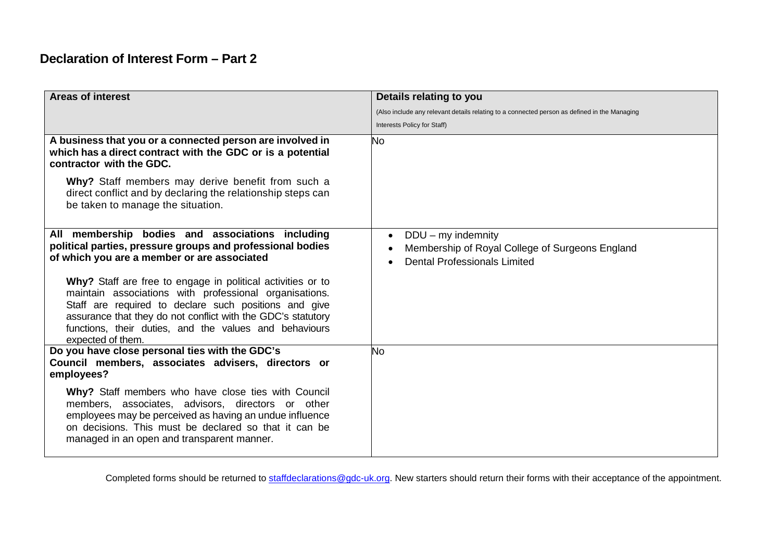# **Declaration of Interest Form – Part 2**

| <b>Areas of interest</b>                                                                                                                                                                                                                                                                                                      | Details relating to you                                                                                             |
|-------------------------------------------------------------------------------------------------------------------------------------------------------------------------------------------------------------------------------------------------------------------------------------------------------------------------------|---------------------------------------------------------------------------------------------------------------------|
|                                                                                                                                                                                                                                                                                                                               | (Also include any relevant details relating to a connected person as defined in the Managing                        |
|                                                                                                                                                                                                                                                                                                                               | Interests Policy for Staff)                                                                                         |
| A business that you or a connected person are involved in<br>which has a direct contract with the GDC or is a potential<br>contractor with the GDC.                                                                                                                                                                           | <b>No</b>                                                                                                           |
| Why? Staff members may derive benefit from such a<br>direct conflict and by declaring the relationship steps can<br>be taken to manage the situation.                                                                                                                                                                         |                                                                                                                     |
| All membership bodies and associations including<br>political parties, pressure groups and professional bodies<br>of which you are a member or are associated                                                                                                                                                                 | $DDU - my$ indemnity<br>٠<br>Membership of Royal College of Surgeons England<br><b>Dental Professionals Limited</b> |
| Why? Staff are free to engage in political activities or to<br>maintain associations with professional organisations.<br>Staff are required to declare such positions and give<br>assurance that they do not conflict with the GDC's statutory<br>functions, their duties, and the values and behaviours<br>expected of them. |                                                                                                                     |
| Do you have close personal ties with the GDC's<br>Council members, associates advisers, directors or<br>employees?                                                                                                                                                                                                            | <b>No</b>                                                                                                           |
| Why? Staff members who have close ties with Council<br>members, associates, advisors, directors or other<br>employees may be perceived as having an undue influence<br>on decisions. This must be declared so that it can be<br>managed in an open and transparent manner.                                                    |                                                                                                                     |

Completed forms should be returned to [staffdeclarations@gdc-uk.org.](mailto:staffdeclarations@gdc-uk.org) New starters should return their forms with their acceptance of the appointment.